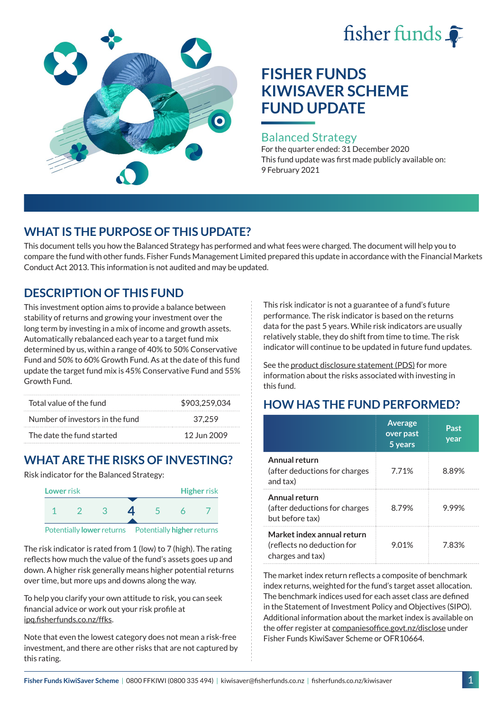# fisher funds



# **FISHER FUNDS KIWISAVER SCHEME FUND UPDATE**

#### Balanced Strategy

For the quarter ended: 31 December 2020 This fund update was first made publicly available on: 9 February 2021

# **WHAT IS THE PURPOSE OF THIS UPDATE?**

This document tells you how the Balanced Strategy has performed and what fees were charged. The document will help you to compare the fund with other funds. Fisher Funds Management Limited prepared this update in accordance with the Financial Markets Conduct Act 2013. This information is not audited and may be updated.

# **DESCRIPTION OF THIS FUND**

This investment option aims to provide a balance between stability of returns and growing your investment over the long term by investing in a mix of income and growth assets. Automatically rebalanced each year to a target fund mix determined by us, within a range of 40% to 50% Conservative Fund and 50% to 60% Growth Fund. As at the date of this fund update the target fund mix is 45% Conservative Fund and 55% Growth Fund.

| Total value of the fund         | \$903,259,034 |
|---------------------------------|---------------|
| Number of investors in the fund | 37.259        |
| The date the fund started       | 12 Jun 2009   |

# **WHAT ARE THE RISKS OF INVESTING?**

Risk indicator for the Balanced Strategy:



The risk indicator is rated from 1 (low) to 7 (high). The rating reflects how much the value of the fund's assets goes up and down. A higher risk generally means higher potential returns over time, but more ups and downs along the way.

To help you clarify your own attitude to risk, you can seek financial advice or work out your risk profile at [ipq.fisherfunds.co.nz/ffks](https://ipq.fisherfunds.co.nz/ffks).

Note that even the lowest category does not mean a risk-free investment, and there are other risks that are not captured by this rating.

This risk indicator is not a guarantee of a fund's future performance. The risk indicator is based on the returns data for the past 5 years. While risk indicators are usually relatively stable, they do shift from time to time. The risk indicator will continue to be updated in future fund updates.

See the [product disclosure statement \(PDS\)](https://fisherfunds.co.nz/assets/PDS/Fisher-Funds-KiwiSaver-Scheme-PDS.pdf) for more information about the risks associated with investing in this fund.

# **HOW HAS THE FUND PERFORMED?**

|                                                                              | <b>Average</b><br>over past<br>5 years | Past<br>year |
|------------------------------------------------------------------------------|----------------------------------------|--------------|
| Annual return<br>(after deductions for charges<br>and tax)                   | 7.71%                                  | 8.89%        |
| Annual return<br>(after deductions for charges<br>but before tax)            | 8.79%                                  | 9.99%        |
| Market index annual return<br>(reflects no deduction for<br>charges and tax) | 9.01%                                  | 7.83%        |

The market index return reflects a composite of benchmark index returns, weighted for the fund's target asset allocation. The benchmark indices used for each asset class are defined in the Statement of Investment Policy and Objectives (SIPO). Additional information about the market index is available on the offer register at [companiesoffice.govt.nz/disclose](http://companiesoffice.govt.nz/disclose) under Fisher Funds KiwiSaver Scheme or OFR10664.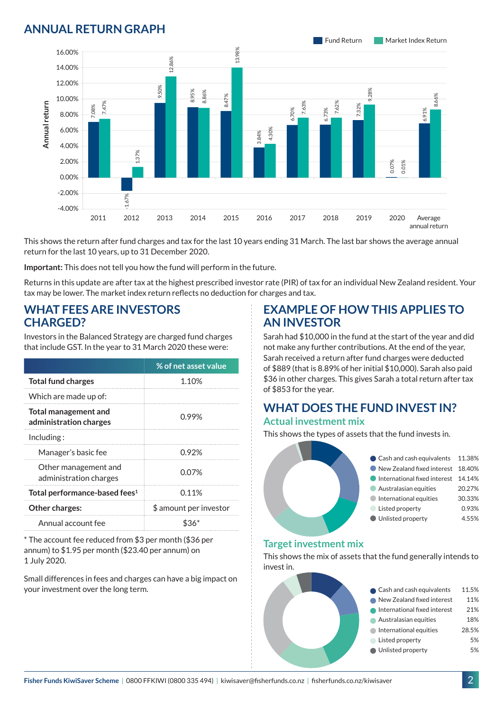### **ANNUAL RETURN GRAPH**



This shows the return after fund charges and tax for the last 10 years ending 31 March. The last bar shows the average annual return for the last 10 years, up to 31 December 2020.

**Important:** This does not tell you how the fund will perform in the future.

Returns in this update are after tax at the highest prescribed investor rate (PIR) of tax for an individual New Zealand resident. Your tax may be lower. The market index return reflects no deduction for charges and tax.

#### **WHAT FEES ARE INVESTORS CHARGED?**

|                 |                                                       |                                                |                                                                                                             |      |                                                                                                                                       | ू<br>8 |
|-----------------|-------------------------------------------------------|------------------------------------------------|-------------------------------------------------------------------------------------------------------------|------|---------------------------------------------------------------------------------------------------------------------------------------|--------|
|                 | 8.00%                                                 | 7.47%<br>7.08%                                 |                                                                                                             |      |                                                                                                                                       |        |
| Annual return   | 6.00%                                                 |                                                |                                                                                                             |      |                                                                                                                                       |        |
|                 | 4.00%                                                 |                                                |                                                                                                             |      |                                                                                                                                       |        |
|                 | 2.00%                                                 |                                                | $.37\%$                                                                                                     |      |                                                                                                                                       |        |
|                 | 0.00%                                                 |                                                |                                                                                                             |      |                                                                                                                                       |        |
|                 | $-2.00%$                                              |                                                |                                                                                                             |      |                                                                                                                                       |        |
|                 | $-4.00%$                                              |                                                | 1.67%                                                                                                       |      |                                                                                                                                       |        |
|                 |                                                       | 2011                                           | 2012                                                                                                        | 2013 | 2014                                                                                                                                  | 2015   |
|                 |                                                       |                                                | return for the last 10 years, up to 31 December 2020.                                                       |      | This shows the return after fund charges and tax for the last 10                                                                      |        |
|                 |                                                       |                                                |                                                                                                             |      | Important: This does not tell you how the fund will perform in th                                                                     |        |
|                 |                                                       |                                                |                                                                                                             |      | Returns in this update are after tax at the highest prescribed inv<br>tax may be lower. The market index return reflects no deductior |        |
| <b>CHARGED?</b> |                                                       |                                                |                                                                                                             |      | Investors in the Balanced Strategy are charged fund charges<br>that include GST. In the year to 31 March 2020 these were:             |        |
|                 |                                                       |                                                |                                                                                                             |      |                                                                                                                                       |        |
|                 |                                                       |                                                |                                                                                                             |      | % of net asset value                                                                                                                  |        |
|                 | <b>Total fund charges</b>                             |                                                |                                                                                                             |      | 1.10%                                                                                                                                 |        |
|                 | Which are made up of:                                 |                                                |                                                                                                             |      |                                                                                                                                       |        |
|                 | <b>Total management and</b><br>administration charges |                                                |                                                                                                             |      | 0.99%                                                                                                                                 |        |
| Including:      |                                                       |                                                |                                                                                                             |      |                                                                                                                                       |        |
|                 | Manager's basic fee                                   |                                                |                                                                                                             |      | 0.92%                                                                                                                                 |        |
|                 |                                                       | Other management and<br>administration charges |                                                                                                             |      | 0.07%                                                                                                                                 |        |
|                 |                                                       | Total performance-based fees <sup>1</sup>      |                                                                                                             |      | 0.11%                                                                                                                                 |        |
|                 | Other charges:                                        |                                                |                                                                                                             |      | \$ amount per investor                                                                                                                |        |
|                 | Annual account fee                                    |                                                |                                                                                                             |      | $$36*$                                                                                                                                |        |
| 1 July 2020.    |                                                       |                                                | * The account fee reduced from \$3 per month (\$36 per<br>annum) to \$1.95 per month (\$23.40 per annum) on |      |                                                                                                                                       |        |

Small differences in fees and charges can have a big impact on

#### **EXAMPLE OF HOW THIS APPLIES TO AN INVESTOR**

Sarah had \$10,000 in the fund at the start of the year and did not make any further contributions. At the end of the year, Sarah received a return after fund charges were deducted of \$889 (that is 8.89% of her initial \$10,000). Sarah also paid \$36 in other charges. This gives Sarah a total return after tax of \$853 for the year.

# **WHAT DOES THE FUND INVEST IN?**

#### **Actual investment mix**

This shows the types of assets that the fund invests in.



#### **Target investment mix**

This shows the mix of assets that the fund generally intends to invest in.